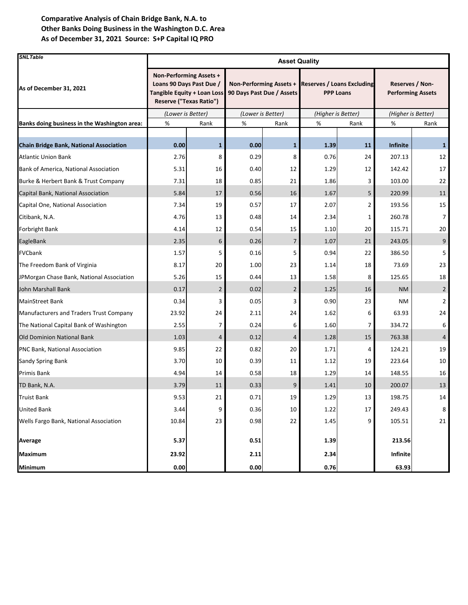| <b>SNLTable</b>                                | <b>Asset Quality</b>                                                                                          |                |                                                      |                |                                                       |                |                                             |                |  |
|------------------------------------------------|---------------------------------------------------------------------------------------------------------------|----------------|------------------------------------------------------|----------------|-------------------------------------------------------|----------------|---------------------------------------------|----------------|--|
| As of December 31, 2021                        | Non-Performing Assets +<br>Loans 90 Days Past Due /<br>Tangible Equity + Loan Loss<br>Reserve ("Texas Ratio") |                | Non-Performing Assets +<br>90 Days Past Due / Assets |                | <b>Reserves / Loans Excluding</b><br><b>PPP Loans</b> |                | Reserves / Non-<br><b>Performing Assets</b> |                |  |
|                                                | (Lower is Better)                                                                                             |                | (Lower is Better)                                    |                | (Higher is Better)                                    |                | (Higher is Better)                          |                |  |
| Banks doing business in the Washington area:   | %<br>%<br>Rank                                                                                                |                | Rank                                                 | %<br>Rank      |                                                       | %<br>Rank      |                                             |                |  |
|                                                |                                                                                                               |                |                                                      |                |                                                       |                |                                             |                |  |
| <b>Chain Bridge Bank, National Association</b> | 0.00                                                                                                          | $\mathbf{1}$   | 0.00                                                 | $\mathbf{1}$   | 1.39                                                  | 11             | <b>Infinite</b>                             | $\mathbf{1}$   |  |
| <b>Atlantic Union Bank</b>                     | 2.76                                                                                                          | 8              | 0.29                                                 | 8              | 0.76                                                  | 24             | 207.13                                      | 12             |  |
| Bank of America, National Association          | 5.31                                                                                                          | 16             | 0.40                                                 | 12             | 1.29                                                  | 12             | 142.42                                      | 17             |  |
| Burke & Herbert Bank & Trust Company           | 7.31                                                                                                          | 18             | 0.85                                                 | 21             | 1.86                                                  | 3              | 103.00                                      | 22             |  |
| Capital Bank, National Association             | 5.84                                                                                                          | 17             | 0.56                                                 | 16             | 1.67                                                  | 5              | 220.99                                      | 11             |  |
| Capital One, National Association              | 7.34                                                                                                          | 19             | 0.57                                                 | 17             | 2.07                                                  | $\overline{2}$ | 193.56                                      | 15             |  |
| Citibank, N.A.                                 | 4.76                                                                                                          | 13             | 0.48                                                 | 14             | 2.34                                                  | 1              | 260.78                                      | 7              |  |
| <b>Forbright Bank</b>                          | 4.14                                                                                                          | 12             | 0.54                                                 | 15             | 1.10                                                  | 20             | 115.71                                      | 20             |  |
| EagleBank                                      | 2.35                                                                                                          | 6              | 0.26                                                 | $\overline{7}$ | 1.07                                                  | 21             | 243.05                                      | 9              |  |
| <b>FVCbank</b>                                 | 1.57                                                                                                          | 5              | 0.16                                                 | 5              | 0.94                                                  | 22             | 386.50                                      | 5              |  |
| The Freedom Bank of Virginia                   | 8.17                                                                                                          | 20             | 1.00                                                 | 23             | 1.14                                                  | 18             | 73.69                                       | 23             |  |
| JPMorgan Chase Bank, National Association      | 5.26                                                                                                          | 15             | 0.44                                                 | 13             | 1.58                                                  | 8              | 125.65                                      | 18             |  |
| John Marshall Bank                             | 0.17                                                                                                          | $\overline{2}$ | 0.02                                                 | $\overline{2}$ | 1.25                                                  | 16             | <b>NM</b>                                   | $\overline{2}$ |  |
| <b>MainStreet Bank</b>                         | 0.34                                                                                                          | 3              | 0.05                                                 | 3              | 0.90                                                  | 23             | <b>NM</b>                                   | 2              |  |
| Manufacturers and Traders Trust Company        | 23.92                                                                                                         | 24             | 2.11                                                 | 24             | 1.62                                                  | 6              | 63.93                                       | 24             |  |
| The National Capital Bank of Washington        | 2.55                                                                                                          | 7              | 0.24                                                 | 6              | 1.60                                                  | 7              | 334.72                                      | 6              |  |
| <b>Old Dominion National Bank</b>              | 1.03                                                                                                          | 4              | 0.12                                                 | $\overline{4}$ | 1.28                                                  | 15             | 763.38                                      | $\overline{4}$ |  |
| PNC Bank, National Association                 | 9.85                                                                                                          | 22             | 0.82                                                 | 20             | 1.71                                                  | 4              | 124.21                                      | 19             |  |
| <b>Sandy Spring Bank</b>                       | 3.70                                                                                                          | 10             | 0.39                                                 | 11             | 1.12                                                  | 19             | 223.64                                      | 10             |  |
| Primis Bank                                    | 4.94                                                                                                          | 14             | 0.58                                                 | 18             | 1.29                                                  | 14             | 148.55                                      | 16             |  |
| TD Bank, N.A.                                  | 3.79                                                                                                          | 11             | 0.33                                                 | 9              | 1.41                                                  | 10             | 200.07                                      | 13             |  |
| <b>Truist Bank</b>                             | 9.53                                                                                                          | 21             | 0.71                                                 | 19             | 1.29                                                  | 13             | 198.75                                      | 14             |  |
| <b>United Bank</b>                             | 3.44                                                                                                          | 9              | 0.36                                                 | 10             | 1.22                                                  | 17             | 249.43                                      | 8              |  |
| Wells Fargo Bank, National Association         | 10.84                                                                                                         | 23             | 0.98                                                 | 22             | 1.45                                                  | 9              | 105.51                                      | 21             |  |
| Average                                        | 5.37                                                                                                          |                | 0.51                                                 |                | 1.39                                                  |                | 213.56                                      |                |  |
| <b>Maximum</b>                                 | 23.92                                                                                                         |                | 2.11                                                 |                | 2.34                                                  |                | Infinite                                    |                |  |
| Minimum                                        | $0.00\,$                                                                                                      |                | 0.00                                                 |                | 0.76                                                  |                | 63.93                                       |                |  |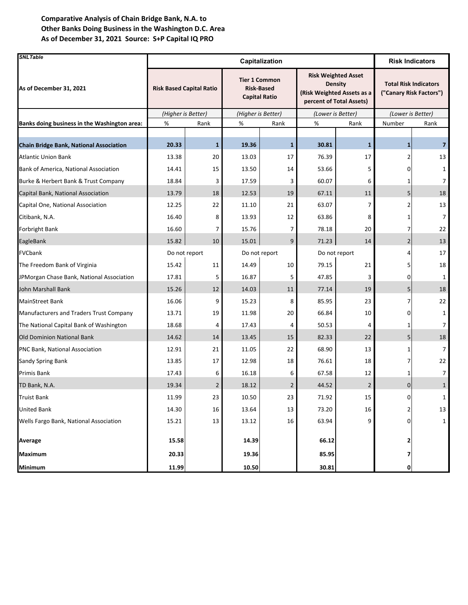| <b>SNLTable</b>                                | Capitalization                  |              |                      |                                           |                            |                                                                          | <b>Risk Indicators</b>                                  |                |  |
|------------------------------------------------|---------------------------------|--------------|----------------------|-------------------------------------------|----------------------------|--------------------------------------------------------------------------|---------------------------------------------------------|----------------|--|
| As of December 31, 2021                        | <b>Risk Based Capital Ratio</b> |              | <b>Capital Ratio</b> | <b>Tier 1 Common</b><br><b>Risk-Based</b> | (Risk Weighted Assets as a | <b>Risk Weighted Asset</b><br><b>Density</b><br>percent of Total Assets) | <b>Total Risk Indicators</b><br>("Canary Risk Factors") |                |  |
|                                                | (Higher is Better)              |              | (Higher is Better)   |                                           | (Lower is Better)          |                                                                          | (Lower is Better)                                       |                |  |
| Banks doing business in the Washington area:   | %<br>Rank                       |              | %<br>Rank            |                                           | %<br>Rank                  |                                                                          | Number                                                  | Rank           |  |
| <b>Chain Bridge Bank, National Association</b> | 20.33                           | $\mathbf{1}$ | 19.36                | $\mathbf{1}$                              | 30.81                      | $\mathbf{1}$                                                             | $\mathbf{1}$                                            | $\overline{7}$ |  |
| <b>Atlantic Union Bank</b>                     | 13.38                           | 20           | 13.03                | 17                                        | 76.39                      | 17                                                                       |                                                         | 13             |  |
| Bank of America, National Association          | 14.41                           | 15           | 13.50                | 14                                        | 53.66                      | 5                                                                        |                                                         | 1              |  |
| Burke & Herbert Bank & Trust Company           | 18.84                           | 3            | 17.59                | 3                                         | 60.07                      | 6                                                                        |                                                         | 7              |  |
| Capital Bank, National Association             | 13.79                           | 18           | 12.53                | 19                                        | 67.11                      | 11                                                                       | 5                                                       | 18             |  |
| Capital One, National Association              | 12.25                           | 22           | 11.10                | 21                                        | 63.07                      | 7                                                                        |                                                         | 13             |  |
| Citibank, N.A.                                 | 16.40                           | 8            | 13.93                | 12                                        | 63.86                      | 8                                                                        |                                                         | $\overline{7}$ |  |
| Forbright Bank                                 | 16.60                           | 7            | 15.76                | 7                                         | 78.18                      | 20                                                                       |                                                         | 22             |  |
| EagleBank                                      | 15.82                           | 10           | 15.01                | 9                                         | 71.23                      | 14                                                                       | $\overline{2}$                                          | 13             |  |
| FVCbank                                        | Do not report                   |              |                      | Do not report                             | Do not report              |                                                                          | Δ                                                       | 17             |  |
| The Freedom Bank of Virginia                   | 15.42                           | 11           | 14.49                | 10                                        | 79.15                      | 21                                                                       |                                                         | 18             |  |
| JPMorgan Chase Bank, National Association      | 17.81                           | 5            | 16.87                | 5                                         | 47.85                      | 3                                                                        | 0                                                       | 1              |  |
| John Marshall Bank                             | 15.26                           | 12           | 14.03                | 11                                        | 77.14                      | 19                                                                       | 5                                                       | 18             |  |
| MainStreet Bank                                | 16.06                           | 9            | 15.23                | 8                                         | 85.95                      | 23                                                                       |                                                         | 22             |  |
| Manufacturers and Traders Trust Company        | 13.71                           | 19           | 11.98                | 20                                        | 66.84                      | 10                                                                       | ი                                                       | $\mathbf{1}$   |  |
| The National Capital Bank of Washington        | 18.68                           | 4            | 17.43                | 4                                         | 50.53                      | 4                                                                        |                                                         | 7              |  |
| <b>Old Dominion National Bank</b>              | 14.62                           | 14           | 13.45                | 15                                        | 82.33                      | 22                                                                       | 5                                                       | 18             |  |
| <b>PNC Bank, National Association</b>          | 12.91                           | 21           | 11.05                | 22                                        | 68.90                      | 13                                                                       | 1                                                       | $\overline{7}$ |  |
| Sandy Spring Bank                              | 13.85                           | 17           | 12.98                | 18                                        | 76.61                      | 18                                                                       |                                                         | 22             |  |
| Primis Bank                                    | 17.43                           | 6            | 16.18                | 6                                         | 67.58                      | 12                                                                       |                                                         | 7              |  |
| TD Bank, N.A.                                  | 19.34                           | 2            | 18.12                | $\overline{2}$                            | 44.52                      | $\overline{2}$                                                           | 0                                                       | $\mathbf{1}$   |  |
| <b>Truist Bank</b>                             | 11.99                           | 23           | 10.50                | 23                                        | 71.92                      | 15                                                                       | <sub>O</sub>                                            | $\mathbf{1}$   |  |
| <b>United Bank</b>                             | 14.30                           | 16           | 13.64                | 13                                        | 73.20                      | 16                                                                       |                                                         | 13             |  |
| Wells Fargo Bank, National Association         | 15.21                           | 13           | 13.12                | 16                                        | 63.94                      | 9                                                                        |                                                         | $\mathbf{1}$   |  |
| Average                                        | 15.58                           |              | 14.39                |                                           | 66.12                      |                                                                          |                                                         |                |  |
| <b>Maximum</b>                                 | 20.33                           |              | 19.36                |                                           | 85.95                      |                                                                          |                                                         |                |  |
| Minimum                                        | 11.99                           |              | 10.50                |                                           | 30.81                      |                                                                          | 0                                                       |                |  |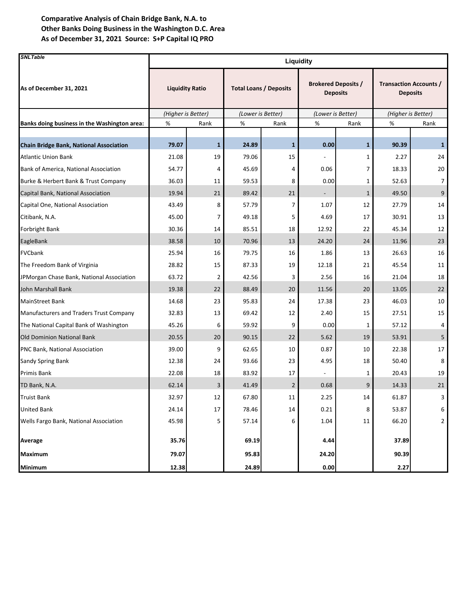| <b>SNLTable</b>                                | Liquidity              |              |                               |                |                                               |              |                                                  |                |  |
|------------------------------------------------|------------------------|--------------|-------------------------------|----------------|-----------------------------------------------|--------------|--------------------------------------------------|----------------|--|
| As of December 31, 2021                        | <b>Liquidity Ratio</b> |              | <b>Total Loans / Deposits</b> |                | <b>Brokered Deposits /</b><br><b>Deposits</b> |              | <b>Transaction Accounts /</b><br><b>Deposits</b> |                |  |
|                                                | (Higher is Better)     |              | (Lower is Better)             |                | (Lower is Better)                             |              | (Higher is Better)                               |                |  |
| Banks doing business in the Washington area:   | %                      | Rank         | %                             | Rank           | %                                             | Rank         | %                                                | Rank           |  |
| <b>Chain Bridge Bank, National Association</b> | 79.07                  | $\mathbf{1}$ | 24.89                         | $\mathbf{1}$   | 0.00                                          | $\mathbf{1}$ | 90.39                                            | $\mathbf{1}$   |  |
| <b>Atlantic Union Bank</b>                     | 21.08                  | 19           | 79.06                         | 15             |                                               | 1            | 2.27                                             | 24             |  |
| Bank of America, National Association          | 54.77                  | 4            | 45.69                         | 4              | 0.06                                          | 7            | 18.33                                            | 20             |  |
| Burke & Herbert Bank & Trust Company           | 36.03                  | 11           | 59.53                         | 8              | 0.00                                          | 1            | 52.63                                            | 7              |  |
| Capital Bank, National Association             | 19.94                  | 21           | 89.42                         | 21             |                                               | $\mathbf{1}$ | 49.50                                            | 9              |  |
| Capital One, National Association              | 43.49                  | 8            | 57.79                         | 7              | 1.07                                          | 12           | 27.79                                            | 14             |  |
| Citibank, N.A.                                 | 45.00                  | 7            | 49.18                         | 5              | 4.69                                          | 17           | 30.91                                            | 13             |  |
| <b>Forbright Bank</b>                          | 30.36                  | 14           | 85.51                         | 18             | 12.92                                         | 22           | 45.34                                            | 12             |  |
| EagleBank                                      | 38.58                  | 10           | 70.96                         | 13             | 24.20                                         | 24           | 11.96                                            | 23             |  |
| FVCbank                                        | 25.94                  | 16           | 79.75                         | 16             | 1.86                                          | 13           | 26.63                                            | 16             |  |
| The Freedom Bank of Virginia                   | 28.82                  | 15           | 87.33                         | 19             | 12.18                                         | 21           | 45.54                                            | 11             |  |
| JPMorgan Chase Bank, National Association      | 63.72                  | 2            | 42.56                         | 3              | 2.56                                          | 16           | 21.04                                            | 18             |  |
| John Marshall Bank                             | 19.38                  | 22           | 88.49                         | 20             | 11.56                                         | 20           | 13.05                                            | 22             |  |
| <b>MainStreet Bank</b>                         | 14.68                  | 23           | 95.83                         | 24             | 17.38                                         | 23           | 46.03                                            | 10             |  |
| Manufacturers and Traders Trust Company        | 32.83                  | 13           | 69.42                         | 12             | 2.40                                          | 15           | 27.51                                            | 15             |  |
| The National Capital Bank of Washington        | 45.26                  | 6            | 59.92                         | 9              | 0.00                                          | 1            | 57.12                                            | 4              |  |
| <b>Old Dominion National Bank</b>              | 20.55                  | 20           | 90.15                         | 22             | 5.62                                          | 19           | 53.91                                            | 5              |  |
| PNC Bank, National Association                 | 39.00                  | 9            | 62.65                         | 10             | 0.87                                          | 10           | 22.38                                            | 17             |  |
| <b>Sandy Spring Bank</b>                       | 12.38                  | 24           | 93.66                         | 23             | 4.95                                          | 18           | 50.40                                            | 8              |  |
| <b>Primis Bank</b>                             | 22.08                  | 18           | 83.92                         | 17             |                                               | 1            | 20.43                                            | 19             |  |
| TD Bank, N.A.                                  | 62.14                  | 3            | 41.49                         | $\overline{2}$ | 0.68                                          | 9            | 14.33                                            | 21             |  |
| <b>Truist Bank</b>                             | 32.97                  | 12           | 67.80                         | 11             | 2.25                                          | 14           | 61.87                                            | 3              |  |
| <b>United Bank</b>                             | 24.14                  | 17           | 78.46                         | 14             | 0.21                                          | 8            | 53.87                                            | 6              |  |
| Wells Fargo Bank, National Association         | 45.98                  | 5            | 57.14                         | 6              | 1.04                                          | 11           | 66.20                                            | $\overline{2}$ |  |
| Average                                        | 35.76                  |              | 69.19                         |                | 4.44                                          |              | 37.89                                            |                |  |
| Maximum                                        | 79.07                  |              | 95.83                         |                | 24.20                                         |              | 90.39                                            |                |  |
| Minimum                                        | 12.38                  |              | 24.89                         |                | 0.00                                          |              | 2.27                                             |                |  |